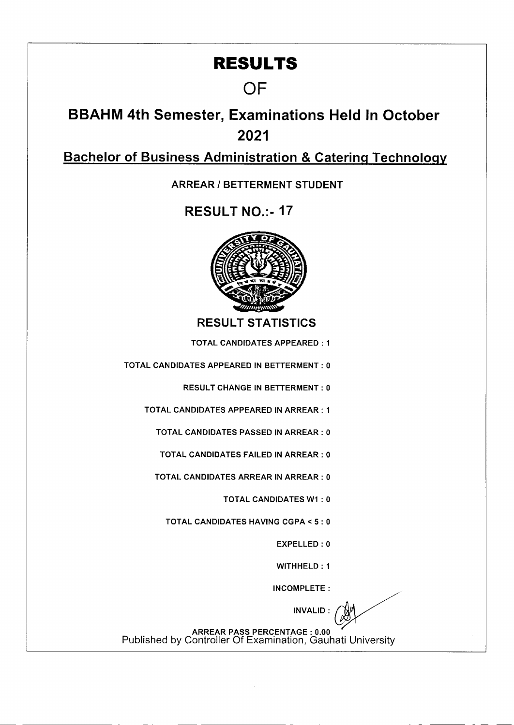## **RESULTS**

## **OF**

**BBAHM 4th Semester, Examinations Held In October 2021** 

**Bachelor of Business Administration & Catering Technology** 

**ARREAR** *I* **BETTERMENT STUDENT** 

**RESULT NO.: - 17** 



RESULT STATISTICS

TOTAL CANDIDATES APPEARED: I

TOTAL CANDIDATES APPEARED IN BETTERMENT: 0

RESULT CHANGE IN BETTERMENT: 0

TOTAL CANDIDATES APPEARED IN ARREAR: I

TOTAL CANDIDATES PASSED IN ARREAR: 0

TOTAL CANDIDATES FAILED IN ARREAR: 0

TOTAL CANDIDATES ARREAR IN ARREAR: 0

TOTAL CANDIDATES WI : 0

TOTAL CANDIDATES HAVING CGPA < 5: 0

EXPELLED : 0

WITHHELD: 1

INCOMPLETE:

INVALID:

ARREAR PASS PERCENTAGE: 0.00 Published by Controller Of Examination, Gauhati University